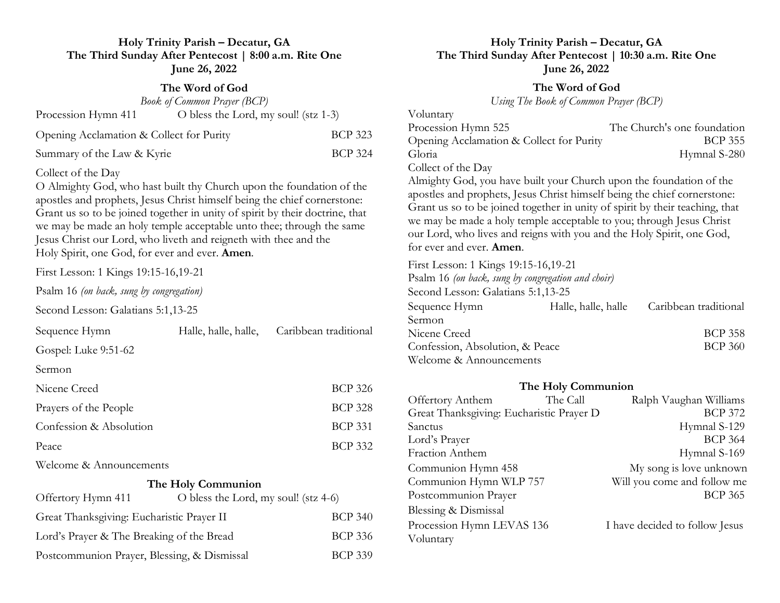### **Holy Trinity Parish – Decatur, GA The Third Sunday After Pentecost | 8:00 a.m. Rite One June 26, 2022**

#### **The Word of God**

| <b>Book of Common Prayer (BCP)</b>       |                                      |                |  |  |
|------------------------------------------|--------------------------------------|----------------|--|--|
| Procession Hymn 411                      | O bless the Lord, my soul! (stz 1-3) |                |  |  |
| Opening Acclamation & Collect for Purity |                                      | <b>BCP 323</b> |  |  |
| Summary of the Law & Kyrie               |                                      | <b>BCP 324</b> |  |  |

#### Collect of the Day

O Almighty God, who hast built thy Church upon the foundation of the apostles and prophets, Jesus Christ himself being the chief cornerstone: Grant us so to be joined together in unity of spirit by their doctrine, that we may be made an holy temple acceptable unto thee; through the same Jesus Christ our Lord, who liveth and reigneth with thee and the Holy Spirit, one God, for ever and ever. **Amen***.*

First Lesson: 1 Kings 19:15-16,19-21

Psalm 16 *(on back, sung by congregation)*

Second Lesson: Galatians 5:1,13-25

| Sequence Hymn           | Halle, halle, halle, | Caribbean traditional |
|-------------------------|----------------------|-----------------------|
| Gospel: Luke 9:51-62    |                      |                       |
| Sermon                  |                      |                       |
| Nicene Creed            |                      | <b>BCP 326</b>        |
| Prayers of the People   |                      | <b>BCP 328</b>        |
| Confession & Absolution |                      | <b>BCP 331</b>        |
| Peace                   |                      | <b>BCP 332</b>        |
|                         |                      |                       |

Welcome & Announcements

#### **The Holy Communion**

| Offertory Hymn 411                          | O bless the Lord, my soul! (stz $4-6$ ) |                |
|---------------------------------------------|-----------------------------------------|----------------|
| Great Thanksgiving: Eucharistic Prayer II   |                                         | <b>BCP 340</b> |
| Lord's Prayer & The Breaking of the Bread   |                                         | <b>BCP 336</b> |
| Postcommunion Prayer, Blessing, & Dismissal |                                         | <b>BCP 339</b> |

#### **Holy Trinity Parish – Decatur, GA The Third Sunday After Pentecost | 10:30 a.m. Rite One June 26, 2022**

# **The Word of God**

*Using The Book of Common Prayer (BCP)*

| Voluntary                                |                             |
|------------------------------------------|-----------------------------|
| Procession Hymn 525                      | The Church's one foundation |
| Opening Acclamation & Collect for Purity | BCP 355                     |
| Gloria                                   | Hymnal S-280                |
| Collect of the Day                       |                             |

Almighty God, you have built your Church upon the foundation of the apostles and prophets, Jesus Christ himself being the chief cornerstone: Grant us so to be joined together in unity of spirit by their teaching, that we may be made a holy temple acceptable to you; through Jesus Christ our Lord, who lives and reigns with you and the Holy Spirit, one God, for ever and ever. **Amen**.

First Lesson: 1 Kings 19:15-16,19-21 Psalm 16 *(on back, sung by congregation and choir)* Second Lesson: Galatians 5:1,13-25 Sequence Hymn Halle, halle, halle Caribbean traditional Sermon Nicene Creed BCP 358 Confession, Absolution, & Peace BCP 360 Welcome & Announcements

## **The Holy Communion** Offertory Anthem The Call Ralph Vaughan Williams Great Thanksgiving: Eucharistic Prayer D BCP 372 Sanctus Hymnal S-129 Lord's Prayer BCP 364 Fraction Anthem Hymnal S-169 Communion Hymn 458 My song is love unknown Communion Hymn WLP 757 Will you come and follow me Postcommunion Prayer BCP 365 Blessing & Dismissal Procession Hymn LEVAS 136 I have decided to follow Jesus Voluntary